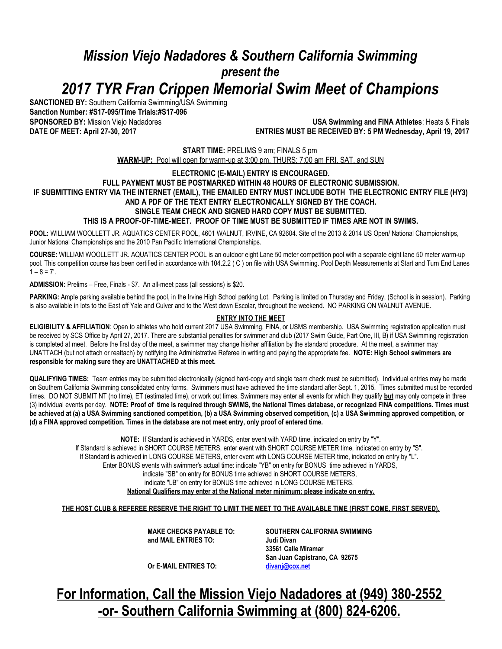# *Mission Viejo Nadadores & Southern California Swimming present the 2017 TYR Fran Crippen Memorial Swim Meet of Champions*

**SANCTIONED BY:** Southern California Swimming/USA Swimming **Sanction Number: #S17-095/Time Trials:#S17-096**

**SPONSORED BY:** Mission Viejo Nadadores **USA Swimming and FINA Athletes**: Heats & Finals **ENTRIES MUST BE RECEIVED BY: 5 PM Wednesday, April 19, 2017** 

> **START TIME:** PRELIMS 9 am; FINALS 5 pm **WARM-UP:** Pool will open for warm-up at 3:00 pm, THURS; 7:00 am FRI, SAT, and SUN

#### **ELECTRONIC (E-MAIL) ENTRY IS ENCOURAGED. FULL PAYMENT MUST BE POSTMARKED WITHIN 48 HOURS OF ELECTRONIC SUBMISSION. IF SUBMITTING ENTRY VIA THE INTERNET (EMAIL), THE EMAILED ENTRY MUST INCLUDE BOTH THE ELECTRONIC ENTRY FILE (HY3) AND A PDF OF THE TEXT ENTRY ELECTRONICALLY SIGNED BY THE COACH. SINGLE TEAM CHECK AND SIGNED HARD COPY MUST BE SUBMITTED.**

**THIS IS A PROOF-OF-TIME-MEET. PROOF OF TIME MUST BE SUBMITTED IF TIMES ARE NOT IN SWIMS.**

**POOL:** WILLIAM WOOLLETT JR. AQUATICS CENTER POOL, 4601 WALNUT, IRVINE, CA 92604. Site of the 2013 & 2014 US Open/ National Championships, Junior National Championships and the 2010 Pan Pacific International Championships.

**COURSE:** WILLIAM WOOLLETT JR. AQUATICS CENTER POOL is an outdoor eight Lane 50 meter competition pool with a separate eight lane 50 meter warm-up pool. This competition course has been certified in accordance with 104.2.2 (C) on file with USA Swimming. Pool Depth Measurements at Start and Turn End Lanes  $1 - 8 = 7'$ .

**ADMISSION:** Prelims – Free, Finals - \$7. An all-meet pass (all sessions) is \$20.

PARKING: Ample parking available behind the pool, in the Irvine High School parking Lot. Parking is limited on Thursday and Friday, (School is in session). Parking is also available in lots to the East off Yale and Culver and to the West down Escolar, throughout the weekend. NO PARKING ON WALNUT AVENUE.

#### **ENTRY INTO THE MEET**

**ELIGIBILITY & AFFILIATION**: Open to athletes who hold current 2017 USA Swimming, FINA, or USMS membership. USA Swimming registration application must be received by SCS Office by April 27, 2017. There are substantial penalties for swimmer and club (2017 Swim Guide, Part One, III, B) if USA Swimming registration is completed at meet. Before the first day of the meet, a swimmer may change his/her affiliation by the standard procedure. At the meet, a swimmer may UNATTACH (but not attach or reattach) by notifying the Administrative Referee in writing and paying the appropriate fee. **NOTE: High School swimmers are responsible for making sure they are UNATTACHED at this meet.**

**QUALIFYING TIMES:** Team entries may be submitted electronically (signed hard-copy and single team check must be submitted). Individual entries may be made on Southern California Swimming consolidated entry forms. Swimmers must have achieved the time standard after Sept. 1, 2015. Times submitted must be recorded times. DO NOT SUBMIT NT (no time), ET (estimated time), or work out times. Swimmers may enter all events for which they qualify **but** may only compete in three (3) individual events per day. **NOTE: Proof of time is required through SWIMS, the National Times database, or recognized FINA competitions. Times must be achieved at (a) a USA Swimming sanctioned competition, (b) a USA Swimming observed competition, (c) a USA Swimming approved competition, or (d) a FINA approved competition. Times in the database are not meet entry, only proof of entered time.**

> **NOTE:** If Standard is achieved in YARDS, enter event with YARD time, indicated on entry by "Y". If Standard is achieved in SHORT COURSE METERS, enter event with SHORT COURSE METER time, indicated on entry by "S". If Standard is achieved in LONG COURSE METERS, enter event with LONG COURSE METER time, indicated on entry by "L". Enter BONUS events with swimmer's actual time: indicate "YB" on entry for BONUS time achieved in YARDS, indicate "SB" on entry for BONUS time achieved in SHORT COURSE METERS, indicate "LB" on entry for BONUS time achieved in LONG COURSE METERS. **National Qualifiers may enter at the National meter minimum; please indicate on entry.**

**THE HOST CLUB & REFEREE RESERVE THE RIGHT TO LIMIT THE MEET TO THE AVAILABLE TIME (FIRST COME, FIRST SERVED).**

**and MAIL ENTRIES TO: Judi Divan**

**MAKE CHECKS PAYABLE TO: SOUTHERN CALIFORNIA SWIMMING 33561 Calle Miramar San Juan Capistrano, CA 92675**

**Or E-MAIL ENTRIES TO: [divanj@cox.net](mailto:divanj@cox.net)**

**For Information, Call the Mission Viejo Nadadores at (949) 380-2552 -or- Southern California Swimming at (800) 824-6206.**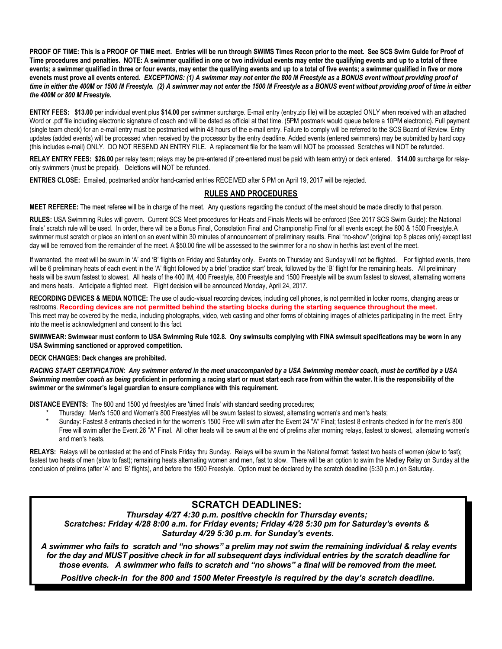**PROOF OF TIME: This is a PROOF OF TIME meet. Entries will be run through SWIMS Times Recon prior to the meet. See SCS Swim Guide for Proof of Time procedures and penalties. NOTE: A swimmer qualified in one or two individual events may enter the qualifying events and up to a total of three**  events; a swimmer qualified in three or four events, may enter the qualifying events and up to a total of five events; a swimmer qualified in five or more **evenets must prove all events entered.** *EXCEPTIONS: (1) A swimmer may not enter the 800 M Freestyle as a BONUS event without providing proof of time in either the 400M or 1500 M Freestyle. (2) A swimmer may not enter the 1500 M Freestyle as a BONUS event without providing proof of time in either the 400M or 800 M Freestyle.* 

**ENTRY FEES: \$13.00** per individual event plus **\$14.00** per swimmer surcharge. E-mail entry (entry.zip file) will be accepted ONLY when received with an attached Word or .pdf file including electronic signature of coach and will be dated as official at that time. (5PM postmark would queue before a 10PM electronic). Full payment (single team check) for an e-mail entry must be postmarked within 48 hours of the e-mail entry. Failure to comply will be referred to the SCS Board of Review. Entry updates (added events) will be processed when received by the processor by the entry deadline. Added events (entered swimmers) may be submitted by hard copy (this includes e-mail) ONLY. DO NOT RESEND AN ENTRY FILE. A replacement file for the team will NOT be processed. Scratches will NOT be refunded.

**RELAY ENTRY FEES: \$26.00** per relay team; relays may be pre-entered (if pre-entered must be paid with team entry) or deck entered. **\$14.00** surcharge for relayonly swimmers (must be prepaid). Deletions will NOT be refunded.

**ENTRIES CLOSE:** Emailed, postmarked and/or hand-carried entries RECEIVED after 5 PM on April 19, 2017 will be rejected.

#### **RULES AND PROCEDURES**

**MEET REFEREE:** The meet referee will be in charge of the meet. Any questions regarding the conduct of the meet should be made directly to that person.

**RULES:** USA Swimming Rules will govern. Current SCS Meet procedures for Heats and Finals Meets will be enforced (See 2017 SCS Swim Guide): the National finals' scratch rule will be used. In order, there will be a Bonus Final, Consolation Final and Championship Final for all events except the 800 & 1500 Freestyle.A swimmer must scratch or place an intent on an event within 30 minutes of announcement of preliminary results. Final "no-show" (original top 8 places only) except last day will be removed from the remainder of the meet. A \$50.00 fine will be assessed to the swimmer for a no show in her/his last event of the meet.

If warranted, the meet will be swum in 'A' and 'B' flights on Friday and Saturday only. Events on Thursday and Sunday will not be flighted. For flighted events, there will be 6 preliminary heats of each event in the 'A' flight followed by a brief 'practice start' break, followed by the 'B' flight for the remaining heats. All preliminary heats will be swum fastest to slowest. All heats of the 400 IM, 400 Freestyle, 800 Freestyle and 1500 Freestyle will be swum fastest to slowest, alternating womens and mens heats. Anticipate a flighted meet. Flight decision will be announced Monday, April 24, 2017.

**RECORDING DEVICES & MEDIA NOTICE:** The use of audio-visual recording devices, including cell phones, is not permitted in locker rooms, changing areas or restrooms. **Recording devices are not permitted behind the starting blocks during the starting sequence throughout the meet.**  This meet may be covered by the media, including photographs, video, web casting and other forms of obtaining images of athletes participating in the meet. Entry into the meet is acknowledgment and consent to this fact.

**SWIMWEAR: Swimwear must conform to USA Swimming Rule 102.8. Ony swimsuits complying with FINA swimsuit specifications may be worn in any USA Swimming sanctioned or approved competition.**

#### **DECK CHANGES: Deck changes are prohibited.**

*RACING START CERTIFICATION: Any swimmer entered in the meet unaccompanied by a USA Swimming member coach, must be certified by a USA Swimming member coach as being* **proficient in performing a racing start or must start each race from within the water. It is the responsibility of the swimmer or the swimmer's legal guardian to ensure compliance with this requirement.**

**DISTANCE EVENTS:** The 800 and 1500 yd freestyles are 'timed finals' with standard seeding procedures;

- Thursday: Men's 1500 and Women's 800 Freestyles will be swum fastest to slowest, alternating women's and men's heats;
- Sunday: Fastest 8 entrants checked in for the women's 1500 Free will swim after the Event 24 "A" Final; fastest 8 entrants checked in for the men's 800 Free will swim after the Event 26 "A" Final. All other heats will be swum at the end of prelims after morning relays, fastest to slowest, alternating women's and men's heats.

**RELAYS:** Relays will be contested at the end of Finals Friday thru Sunday. Relays will be swum in the National format: fastest two heats of women (slow to fast); fastest two heats of men (slow to fast); remaining heats alternating women and men, fast to slow. There will be an option to swim the Medley Relay on Sunday at the conclusion of prelims (after 'A' and 'B' flights), and before the 1500 Freestyle. Option must be declared by the scratch deadline (5:30 p.m.) on Saturday.

#### **SCRATCH DEADLINES:**

*Thursday 4/27 4:30 p.m. positive checkin for Thursday events; Scratches: Friday 4/28 8:00 a.m. for Friday events; Friday 4/28 5:30 pm for Saturday's events & Saturday 4/29 5:30 p.m. for Sunday's events.*

 *A swimmer who fails to scratch and "no shows" a prelim may not swim the remaining individual & relay events for the day and MUST positive check in for all subsequent days individual entries by the scratch deadline for those events. A swimmer who fails to scratch and "no shows" a final will be removed from the meet.*

*Positive check-in for the 800 and 1500 Meter Freestyle is required by the day's scratch deadline.*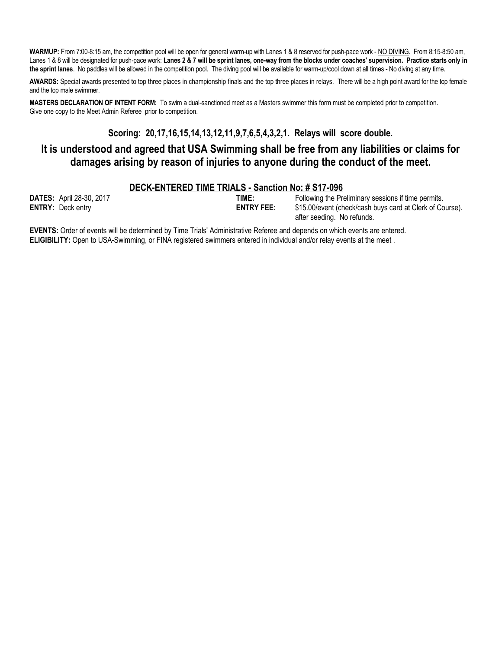**WARMUP:** From 7:00-8:15 am, the competition pool will be open for general warm-up with Lanes 1 & 8 reserved for push-pace work - NO DIVING. From 8:15-8:50 am, Lanes 1 & 8 will be designated for push-pace work: Lanes 2 & 7 will be sprint lanes, one-way from the blocks under coaches' supervision. Practice starts only in **the sprint lanes**. No paddles will be allowed in the competition pool. The diving pool will be available for warm-up/cool down at all times - No diving at any time.

**AWARDS:** Special awards presented to top three places in championship finals and the top three places in relays. There will be a high point award for the top female and the top male swimmer.

MASTERS DECLARATION OF INTENT FORM: To swim a dual-sanctioned meet as a Masters swimmer this form must be completed prior to competition. Give one copy to the Meet Admin Referee prior to competition.

### **Scoring: 20,17,16,15,14,13,12,11,9,7,6,5,4,3,2,1. Relays will score double.**

## **It is understood and agreed that USA Swimming shall be free from any liabilities or claims for damages arising by reason of injuries to anyone during the conduct of the meet.**

#### **DECK-ENTERED TIME TRIALS - Sanction No: # S17-096**

| <b>DATES:</b> April 28-30, 2017 |
|---------------------------------|
| <b>ENTRY: Deck entry</b>        |

**TIME:** Following the Preliminary sessions if time permits.<br>**ENTRY FEE:** \$15.00/event (check/cash buys card at Clerk of Co  $$15.00/event$  (check/cash buys card at Clerk of Course). after seeding. No refunds.

**EVENTS:** Order of events will be determined by Time Trials' Administrative Referee and depends on which events are entered. **ELIGIBILITY:** Open to USA-Swimming, or FINA registered swimmers entered in individual and/or relay events at the meet.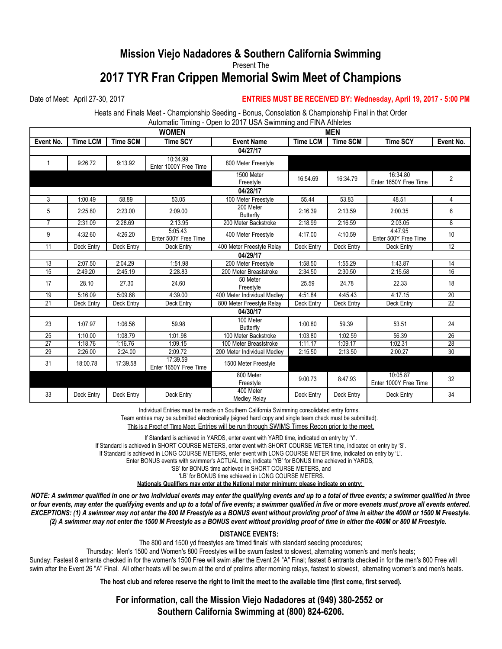## **Mission Viejo Nadadores & Southern California Swimming** Present The **2017 TYR Fran Crippen Memorial Swim Meet of Champions**

#### Date of Meet: April 27-30, 2017 **ENTRIES MUST BE RECEIVED BY: Wednesday, April 19, 2017 - 5:00 PM**

Heats and Finals Meet - Championship Seeding - Bonus, Consolation & Championship Final in that Order Automatic Timing - Open to 2017 USA Swimming and FINA Athletes

| <b>WOMEN</b>    |            |                 |                                   |                                  | <b>MEN</b>      |                 |                                   |                 |  |  |
|-----------------|------------|-----------------|-----------------------------------|----------------------------------|-----------------|-----------------|-----------------------------------|-----------------|--|--|
| Event No.       | Time LCM   | <b>Time SCM</b> | <b>Time SCY</b>                   | <b>Event Name</b>                | <b>Time LCM</b> | <b>Time SCM</b> | <b>Time SCY</b>                   | Event No.       |  |  |
| 04/27/17        |            |                 |                                   |                                  |                 |                 |                                   |                 |  |  |
| 1               | 9:26.72    | 9:13.92         | 10:34.99<br>Enter 1000Y Free Time | 800 Meter Freestyle              |                 |                 |                                   |                 |  |  |
|                 |            |                 |                                   | 1500 Meter<br>Freestyle          | 16:54.69        | 16:34.79        | 16:34.80<br>Enter 1650Y Free Time | $\overline{2}$  |  |  |
| 04/28/17        |            |                 |                                   |                                  |                 |                 |                                   |                 |  |  |
| 3               | 1:00.49    | 58.89           | 53.05                             | 100 Meter Freestyle              | 55.44           | 53.83           | 48.51                             | 4               |  |  |
| 5               | 2:25.80    | 2:23.00         | 2:09.00                           | 200 Meter<br><b>Butterfly</b>    | 2:16.39         | 2:13.59         | 2:00.35                           | 6               |  |  |
| 7               | 2:31.09    | 2:28.69         | 2:13.95                           | 200 Meter Backstroke             | 2:18.99         | 2:16.59         | 2:03.05                           | 8               |  |  |
| 9               | 4:32.60    | 4:26.20         | 5:05.43<br>Enter 500Y Free Time   | 400 Meter Freestyle              | 4:17.00         | 4:10.59         | 4:47.95<br>Enter 500Y Free Time   | 10              |  |  |
| 11              | Deck Entry | Deck Entry      | Deck Entry                        | 400 Meter Freestyle Relay        | Deck Entry      | Deck Entry      | Deck Entry                        | $\overline{12}$ |  |  |
| 04/29/17        |            |                 |                                   |                                  |                 |                 |                                   |                 |  |  |
| 13              | 2:07.50    | 2:04.29         | 1:51.98                           | 200 Meter Freestyle              | 1:58.50         | 1:55.29         | 1:43.87                           | 14              |  |  |
| 15              | 2:49.20    | 2:45.19         | 2:28.83                           | 200 Meter Breaststroke           | 2:34.50         | 2:30.50         | 2:15.58                           | 16              |  |  |
| 17              | 28.10      | 27.30           | 24.60                             | 50 Meter<br>Freestyle            | 25.59           | 24.78           | 22.33                             | 18              |  |  |
| 19              | 5:16.09    | 5:09.68         | 4:39.00                           | 400 Meter Individual Medley      | 4:51.84         | 4:45.43         | 4:17.15                           | $\overline{20}$ |  |  |
| $\overline{21}$ | Deck Entry | Deck Entry      | Deck Entry                        | 800 Meter Freestyle Relay        | Deck Entry      | Deck Entry      | Deck Entry                        | $\overline{22}$ |  |  |
| 04/30/17        |            |                 |                                   |                                  |                 |                 |                                   |                 |  |  |
| 23              | 1:07.97    | 1:06.56         | 59.98                             | 100 Meter<br><b>Butterfly</b>    | 1:00.80         | 59.39           | 53.51                             | 24              |  |  |
| 25              | 1:10.00    | 1:08.79         | 1:01.98                           | 100 Meter Backstroke             | 1:03.80         | 1:02.59         | 56.39                             | $\overline{26}$ |  |  |
| $\overline{27}$ | 1:18.76    | 1:16.76         | 1:09.15                           | 100 Meter Breaststroke           | 1:11.17         | 1:09.17         | 1:02.31                           | $\overline{28}$ |  |  |
| $\overline{29}$ | 2:26.00    | 2:24.00         | 2:09.72                           | 200 Meter Individual Medley      | 2:15.50         | 2:13.50         | 2:00.27                           | $\overline{30}$ |  |  |
| 31              | 18:00.78   | 17:39.58        | 17:39.59<br>Enter 1650Y Free Time | 1500 Meter Freestyle             |                 |                 |                                   |                 |  |  |
|                 |            |                 |                                   | 800 Meter<br>Freestyle           | 9:00.73         | 8:47.93         | 10:05.87<br>Enter 1000Y Free Time | 32              |  |  |
| 33              | Deck Entry | Deck Entry      | Deck Entry                        | 400 Meter<br><b>Medley Relay</b> | Deck Entry      | Deck Entry      | Deck Entry                        | 34              |  |  |

Individual Entries must be made on Southern California Swimming consolidated entry forms.

Team entries may be submitted electronically (signed hard copy and single team check must be submitted).

This is a Proof of Time Meet. Entries will be run through SWIMS Times Recon prior to the meet.

If Standard is achieved in YARDS, enter event with YARD time, indicated on entry by 'Y'.

If Standard is achieved in SHORT COURSE METERS, enter event with SHORT COURSE METER time, indicated on entry by 'S'.

If Standard is achieved in LONG COURSE METERS, enter event with LONG COURSE METER time, indicated on entry by 'L'.

Enter BONUS events with swimmer's ACTUAL time; indicate 'YB' for BONUS time achieved in YARDS,

'SB' for BONUS time achieved in SHORT COURSE METERS, and

'LB' for BONUS time achieved in LONG COURSE METERS

**Nationals Qualifiers may enter at the National meter minimum; please indicate on entry;** 

*NOTE: A swimmer qualified in one or two individual events may enter the qualifying events and up to a total of three events; a swimmer qualified in three or four events, may enter the qualifying events and up to a total of five events; a swimmer qualified in five or more evenets must prove all events entered. EXCEPTIONS: (1) A swimmer may not enter the 800 M Freestyle as a BONUS event without providing proof of time in either the 400M or 1500 M Freestyle. (2) A swimmer may not enter the 1500 M Freestyle as a BONUS event without providing proof of time in either the 400M or 800 M Freestyle.* 

**DISTANCE EVENTS:** 

The 800 and 1500 yd freestyles are 'timed finals' with standard seeding procedures;

Thursday: Men's 1500 and Women's 800 Freestyles will be swum fastest to slowest, alternating women's and men's heats;

Sunday: Fastest 8 entrants checked in for the women's 1500 Free will swim after the Event 24 "A" Final; fastest 8 entrants checked in for the men's 800 Free will swim after the Event 26 "A" Final. All other heats will be swum at the end of prelims after morning relays, fastest to slowest, alternating women's and men's heats.

**The host club and referee reserve the right to limit the meet to the available time (first come, first served).**

**For information, call the Mission Viejo Nadadores at (949) 380-2552 or Southern California Swimming at (800) 824-6206.**